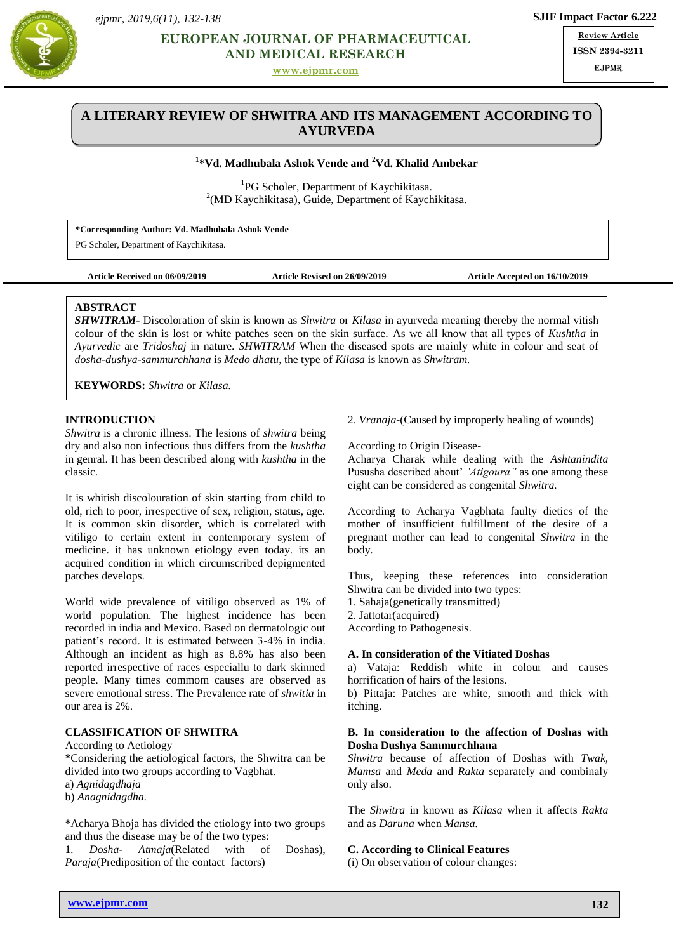*ejpmr, 2019,6(11), 132-138*



# **Properties AND MEDICAL RESEARCH EUROPEAN JOURNAL OF PHARMACEUTICAL**

**[www.ejpmr.com](http://www.ejpmr.com/)**

**Review Article ISSN 2394-3211** EJPMR

# **A LITERARY REVIEW OF SHWITRA AND ITS MANAGEMENT ACCORDING TO AYURVEDA**

## **1 \*Vd. Madhubala Ashok Vende and <sup>2</sup>Vd. Khalid Ambekar**

<sup>1</sup>PG Scholer, Department of Kaychikitasa.  $2(MD$  Kaychikitasa), Guide, Department of Kaychikitasa.

| *Corresponding Author: Vd. Madhubala Ashok Vende |  |  |  |
|--------------------------------------------------|--|--|--|
|                                                  |  |  |  |

PG Scholer, Department of Kaychikitasa.

### **Article Received on 06/09/2019 Article Revised on 26/09/2019 Article Accepted on 16/10/2019**

### **ABSTRACT**

*SHWITRAM***-** Discoloration of skin is known as *Shwitra* or *Kilasa* in ayurveda meaning thereby the normal vitish colour of the skin is lost or white patches seen on the skin surface. As we all know that all types of *Kushtha* in *Ayurvedic* are *Tridoshaj* in nature. *SHWITRAM* When the diseased spots are mainly white in colour and seat of *dosha-dushya-sammurchhana* is *Medo dhatu*, the type of *Kilasa* is known as *Shwitram.*

**KEYWORDS:** *Shwitra* or *Kilasa.*

## **INTRODUCTION**

*Shwitra* is a chronic illness. The lesions of *shwitra* being dry and also non infectious thus differs from the *kushtha* in genral. It has been described along with *kushtha* in the classic.

It is whitish discolouration of skin starting from child to old, rich to poor, irrespective of sex, religion, status, age. It is common skin disorder, which is correlated with vitiligo to certain extent in contemporary system of medicine. it has unknown etiology even today. its an acquired condition in which circumscribed depigmented patches develops.

World wide prevalence of vitiligo observed as 1% of world population. The highest incidence has been recorded in india and Mexico. Based on dermatologic out patient's record. It is estimated between 3-4% in india. Although an incident as high as 8.8% has also been reported irrespective of races especiallu to dark skinned people. Many times commom causes are observed as severe emotional stress. The Prevalence rate of *shwitia* in our area is 2%.

## **CLASSIFICATION OF SHWITRA**

According to Aetiology

\*Considering the aetiological factors, the Shwitra can be divided into two groups according to Vagbhat.

a) *Agnidagdhaja*

b) *Anagnidagdha.*

\*Acharya Bhoja has divided the etiology into two groups and thus the disease may be of the two types:

1*. Dosha*- *Atmaja*(Related with of Doshas), *Paraja*(Prediposition of the contact factors)

2. *Vranaja-*(Caused by improperly healing of wounds)

According to Origin Disease-

Acharya Charak while dealing with the *Ashtanindita* Pususha described about' *'Atigoura"* as one among these eight can be considered as congenital *Shwitra.*

According to Acharya Vagbhata faulty dietics of the mother of insufficient fulfillment of the desire of a pregnant mother can lead to congenital *Shwitra* in the body.

Thus, keeping these references into consideration Shwitra can be divided into two types:

1. Sahaja(genetically transmitted)

2. Jattotar(acquired)

According to Pathogenesis.

## **A. In consideration of the Vitiated Doshas**

a) Vataja: Reddish white in colour and causes horrification of hairs of the lesions.

b) Pittaja: Patches are white, smooth and thick with itching.

#### **B. In consideration to the affection of Doshas with Dosha Dushya Sammurchhana**

*Shwitra* because of affection of Doshas with *Twak, Mamsa* and *Meda* and *Rakta* separately and combinaly only also.

The *Shwitra* in known as *Kilasa* when it affects *Rakta*  and as *Daruna* when *Mansa.*

#### **C. According to Clinical Features**

(i) On observation of colour changes: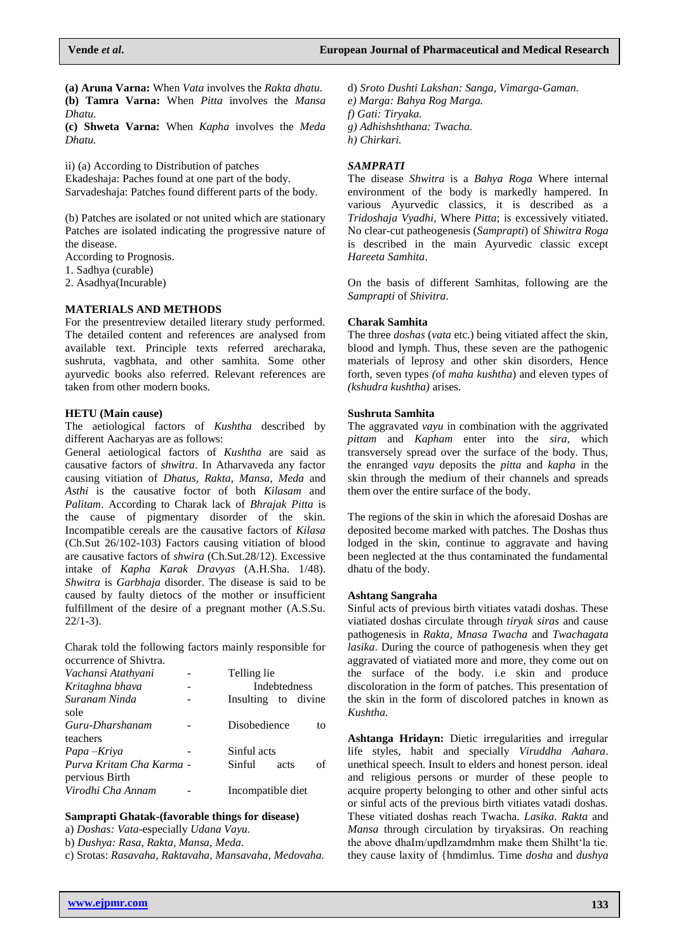**(a) Aruna Varna:** When *Vata* involves the *Rakta dhatu*. **(b) Tamra Varna:** When *Pitta* involves the *Mansa Dhatu.*

**(c) Shweta Varna:** When *Kapha* involves the *Meda Dhatu.*

ii) (a) According to Distribution of patches Ekadeshaja: Paches found at one part of the body. Sarvadeshaja: Patches found different parts of the body.

(b) Patches are isolated or not united which are stationary Patches are isolated indicating the progressive nature of the disease.

According to Prognosis.

1. Sadhya (curable)

2. Asadhya(Incurable)

### **MATERIALS AND METHODS**

For the presentreview detailed literary study performed. The detailed content and references are analysed from available text. Principle texts referred arecharaka, sushruta, vagbhata, and other samhita. Some other ayurvedic books also referred. Relevant references are taken from other modern books.

#### **HETU (Main cause)**

The aetiological factors of *Kushtha* described by different Aacharyas are as follows:

General aetiological factors of *Kushtha* are said as causative factors of *shwitra*. In Atharvaveda any factor causing vitiation of *Dhatus*, *Rakta*, *Mansa*, *Meda* and *Asthi* is the causative foctor of both *Kilasam* and *Palitam*. According to Charak lack of *Bhrajak Pitta* is the cause of pigmentary disorder of the skin. Incompatible cereals are the causative factors of *Kilasa* (Ch.Sut 26/102-103) Factors causing vitiation of blood are causative factors of *shwira* (Ch.Sut.28/12). Excessive intake of *Kapha Karak Dravyas* (A.H.Sha. 1/48). *Shwitra* is *Garbhaja* disorder. The disease is said to be caused by faulty dietocs of the mother or insufficient fulfillment of the desire of a pregnant mother (A.S.Su.  $22/1-3$ ).

Charak told the following factors mainly responsible for occurrence of Shivtra.

| Vachansi Atathyani                         | Telling lie          |  |  |
|--------------------------------------------|----------------------|--|--|
| Kritaghna bhava                            | <b>Indebtedness</b>  |  |  |
| Suranam Ninda                              | Insulting to divine  |  |  |
| sole                                       |                      |  |  |
| Guru-Dharshanam                            | Disobedience<br>to   |  |  |
| teachers                                   |                      |  |  |
| Papa – Kriya                               | Sinful acts          |  |  |
| Purva Kritam Cha Karma -<br>pervious Birth | Sinful<br>of<br>acts |  |  |
| Virodhi Cha Annam                          | Incompatible diet    |  |  |

#### **Samprapti Ghatak-(favorable things for disease)**

a) *Doshas: Vata*-especially *Udana Vayu.*

b) *Dushya: Rasa, Rakta, Mansa, Meda.*

c) Srotas: *Rasavaha, Raktavaha, Mansavaha, Medovaha.*

d) *Sroto Dushti Lakshan: Sanga, Vimarga-Gaman. e) Marga: Bahya Rog Marga. f) Gati: Tiryaka. g) Adhishshthana: Twacha. h) Chirkari.*

#### *SAMPRATI*

The disease *Shwitra* is a *Bahya Roga* Where internal environment of the body is markedly hampered. In various Ayurvedic classics, it is described as a *Tridoshaja Vyadhi*, Where *Pitta*; is excessively vitiated. No clear-cut patheogenesis (*Samprapti*) of *Shiwitra Roga* is described in the main Ayurvedic classic except *Hareeta Samhita*.

On the basis of different Samhitas, following are the *Samprapti* of *Shivitra*.

#### **Charak Samhita**

The three *doshas* (*vata* etc.) being vitiated affect the skin, blood and lymph. Thus, these seven are the pathogenic materials of leprosy and other skin disorders, Hence forth, seven types *(*of *maha kushtha*) and eleven types of *(kshudra kushtha)* arises.

#### **Sushruta Samhita**

The aggravated *vayu* in combination with the aggrivated *pittam* and *Kapham* enter into the *sira*, which transversely spread over the surface of the body. Thus, the enranged *vayu* deposits the *pitta* and *kapha* in the skin through the medium of their channels and spreads them over the entire surface of the body.

The regions of the skin in which the aforesaid Doshas are deposited become marked with patches. The Doshas thus lodged in the skin, continue to aggravate and having been neglected at the thus contaminated the fundamental dhatu of the body.

#### **Ashtang Sangraha**

Sinful acts of previous birth vitiates vatadi doshas. These viatiated doshas circulate through *tiryak siras* and cause pathogenesis in *Rakta, Mnasa Twacha* and *Twachagata lasika*. During the cource of pathogenesis when they get aggravated of viatiated more and more, they come out on the surface of the body. i.e skin and produce discoloration in the form of patches. This presentation of the skin in the form of discolored patches in known as *Kushtha.*

**Ashtanga Hridayn:** Dietic irregularities and irregular life styles, habit and specially *Viruddha Aahara*. unethical speech. Insult to elders and honest person. ideal and religious persons or murder of these people to acquire property belonging to other and other sinful acts or sinful acts of the previous birth vitiates vatadi doshas. These vitiated doshas reach Twacha. *Lasika. Rakta* and *Mansa* through circulation by tiryaksiras. On reaching the above dhaIm/updlzamdmhm make them Shilht'la tie. they cause laxity of {hmdimlus. Time *dosha* and *dushya*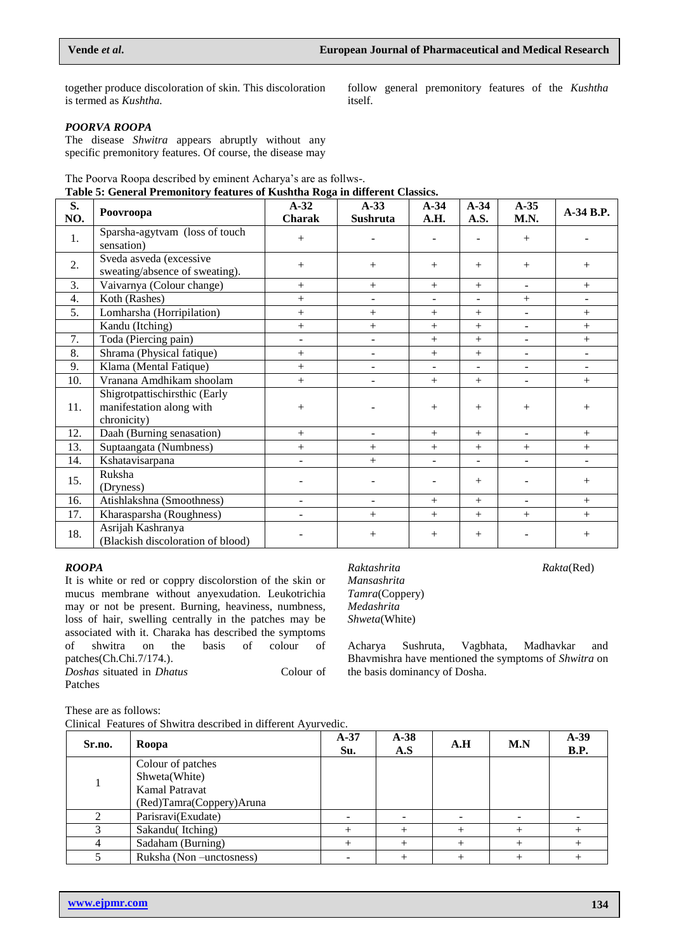together produce discoloration of skin. This discoloration is termed as *Kushtha.*

follow general premonitory features of the *Kushtha* itself.

## *POORVA ROOPA*

The disease *Shwitra* appears abruptly without any specific premonitory features. Of course, the disease may

The Poorva Roopa described by eminent Acharya's are as follws-.

**Table 5: General Premonitory features of Kushtha Roga in different Classics.**

| S.<br>NO. | Poovroopa                                                                | $A-32$<br>Charak         | $A-33$<br>Sushruta       | $A-34$<br>A.H.           | $A-34$<br>A.S.           | $A-35$<br>M.N.               | A-34 B.P.                |
|-----------|--------------------------------------------------------------------------|--------------------------|--------------------------|--------------------------|--------------------------|------------------------------|--------------------------|
| 1.        | Sparsha-agytvam (loss of touch<br>sensation)                             | $^{+}$                   |                          |                          |                          | $+$                          |                          |
| 2.        | Sveda asveda (excessive<br>sweating/absence of sweating).                | $^{+}$                   | $+$                      | $+$                      | $^{+}$                   | $^{+}$                       | $+$                      |
| 3.        | Vaivarnya (Colour change)                                                | $+$                      | $^{+}$                   | $+$                      | $^{+}$                   | $\overline{a}$               | $+$                      |
| 4.        | Koth (Rashes)                                                            | $+$                      |                          |                          |                          | $^{+}$                       |                          |
| 5.        | Lomharsha (Horripilation)                                                | $+$                      | $^{+}$                   | $+$                      | $+$                      |                              | $^{+}$                   |
|           | Kandu (Itching)                                                          | $+$                      | $^{+}$                   | $^{+}$                   | $^{+}$                   |                              | $+$                      |
| 7.        | Toda (Piercing pain)                                                     | $\overline{a}$           | $\overline{\phantom{a}}$ | $+$                      | $+$                      | $\qquad \qquad \blacksquare$ | $+$                      |
| 8.        | Shrama (Physical fatique)                                                | $^{+}$                   | $\overline{\phantom{0}}$ | $+$                      | $+$                      | $\qquad \qquad \blacksquare$ |                          |
| 9.        | Klama (Mental Fatique)                                                   | $+$                      | $\blacksquare$           | $\blacksquare$           | $\blacksquare$           | $\blacksquare$               | $\blacksquare$           |
| 10.       | Vranana Amdhikam shoolam                                                 | $+$                      | ÷.                       | $^{+}$                   | $^{+}$                   | $\sim$                       | $+$                      |
| 11.       | Shigrotpattischirsthic (Early<br>manifestation along with<br>chronicity) | $^{+}$                   |                          | $+$                      | $+$                      | $^{+}$                       | $^{+}$                   |
| 12.       | Daah (Burning senasation)                                                | $^{+}$                   | Ξ.                       | $+$                      | $^{+}$                   | $\blacksquare$               | $^{+}$                   |
| 13.       | Suptaangata (Numbness)                                                   | $^{+}$                   | $^{+}$                   | $+$                      | $+$                      | $+$                          | $+$                      |
| 14.       | Kshatavisarpana                                                          | $\overline{\phantom{a}}$ | $+$                      | $\overline{\phantom{a}}$ | $\overline{\phantom{a}}$ | $\overline{\phantom{a}}$     | $\overline{\phantom{a}}$ |
| 15.       | Ruksha<br>(Dryness)                                                      |                          |                          |                          | $^{+}$                   |                              | $+$                      |
| 16.       | Atishlakshna (Smoothness)                                                |                          | ۳                        | $+$                      | $+$                      | $\overline{a}$               | $+$                      |
| 17.       | Kharasparsha (Roughness)                                                 |                          | $^{+}$                   | $^{+}$                   | $+$                      | $+$                          | $+$                      |
| 18.       | Asrijah Kashranya<br>(Blackish discoloration of blood)                   |                          | $\hspace{0.1mm} +$       | $^{+}$                   | $^{+}$                   |                              | $^{+}$                   |

#### *ROOPA*

It is white or red or coppry discolorstion of the skin or mucus membrane without anyexudation. Leukotrichia may or not be present. Burning, heaviness, numbness, loss of hair, swelling centrally in the patches may be associated with it. Charaka has described the symptoms of shwitra on the basis of colour of patches(Ch.Chi.7/174.).

*Doshas* situated in *Dhatus* Colour of Patches

*Mansashrita Tamra*(Coppery) *Medashrita Shweta*(White)

the basis dominancy of Dosha.

Acharya Sushruta, Vagbhata, Madhavkar and Bhavmishra have mentioned the symptoms of *Shwitra* on

*Raktashrita Rakta*(Red)

These are as follows:

Clinical Features of Shwitra described in different Ayurvedic.

| Sr.no. | Roopa                                                                            | $A-37$<br>Su. | $A-38$<br>A.S | A.H | M.N | $A-39$<br><b>B.P.</b> |
|--------|----------------------------------------------------------------------------------|---------------|---------------|-----|-----|-----------------------|
|        | Colour of patches<br>Shweta(White)<br>Kamal Patravat<br>(Red)Tamra(Coppery)Aruna |               |               |     |     |                       |
|        | Parisravi(Exudate)                                                               |               |               |     |     |                       |
|        | Sakandu(Itching)                                                                 |               |               |     |     |                       |
|        | Sadaham (Burning)                                                                |               |               |     |     |                       |
|        | Ruksha (Non-unctosness)                                                          |               |               |     |     |                       |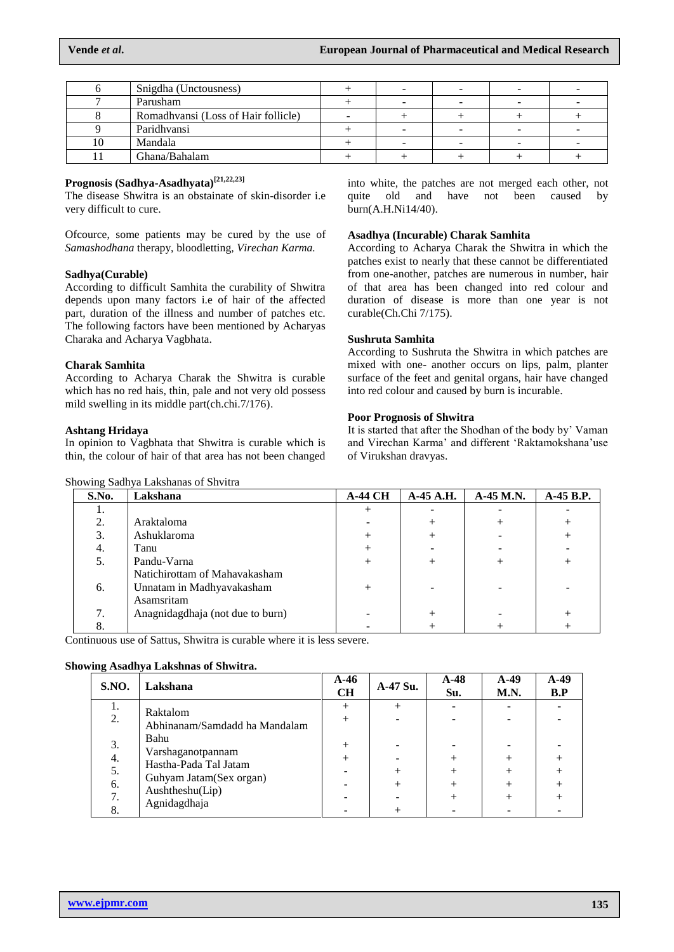|    | Snigdha (Unctousness)               |  |  |  |
|----|-------------------------------------|--|--|--|
|    | Parusham                            |  |  |  |
|    | Romadhvansi (Loss of Hair follicle) |  |  |  |
|    | Paridhyansi                         |  |  |  |
| 10 | Mandala                             |  |  |  |
|    | Ghana/Bahalam                       |  |  |  |

## **Prognosis (Sadhya-Asadhyata)[21,22,23]**

The disease Shwitra is an obstainate of skin-disorder i.e very difficult to cure.

Ofcource, some patients may be cured by the use of *Samashodhana* therapy, bloodletting, *Virechan Karma.*

#### **Sadhya(Curable)**

According to difficult Samhita the curability of Shwitra depends upon many factors i.e of hair of the affected part, duration of the illness and number of patches etc. The following factors have been mentioned by Acharyas Charaka and Acharya Vagbhata.

#### **Charak Samhita**

According to Acharya Charak the Shwitra is curable which has no red hais, thin, pale and not very old possess mild swelling in its middle part(ch.chi.7/176).

#### **Ashtang Hridaya**

In opinion to Vagbhata that Shwitra is curable which is thin, the colour of hair of that area has not been changed

Showing Sadhya Lakshanas of Shvitra

into white, the patches are not merged each other, not quite old and have not been caused by burn(A.H.Ni14/40).

### **Asadhya (Incurable) Charak Samhita**

According to Acharya Charak the Shwitra in which the patches exist to nearly that these cannot be differentiated from one-another, patches are numerous in number, hair of that area has been changed into red colour and duration of disease is more than one year is not curable(Ch.Chi 7/175).

#### **Sushruta Samhita**

According to Sushruta the Shwitra in which patches are mixed with one- another occurs on lips, palm, planter surface of the feet and genital organs, hair have changed into red colour and caused by burn is incurable.

#### **Poor Prognosis of Shwitra**

It is started that after the Shodhan of the body by' Vaman and Virechan Karma' and different 'Raktamokshana'use of Virukshan dravyas.

| S.No. | Lakshana                         | <b>A-44 CH</b> | A-45 A.H. | A-45 M.N. | A-45 B.P. |
|-------|----------------------------------|----------------|-----------|-----------|-----------|
| ı.    |                                  |                |           |           |           |
| 2.    | Araktaloma                       |                |           |           |           |
| 3.    | Ashuklaroma                      |                |           |           |           |
| 4.    | Tanu                             |                |           |           |           |
| 5.    | Pandu-Varna                      |                |           | $^{+}$    |           |
|       | Natichirottam of Mahavakasham    |                |           |           |           |
| 6.    | Unnatam in Madhyavakasham        | $^{+}$         |           |           |           |
|       | Asamsritam                       |                |           |           |           |
| 7.    | Anagnidagdhaja (not due to burn) |                |           |           |           |
| 8.    |                                  |                |           |           |           |

Continuous use of Sattus, Shwitra is curable where it is less severe.

#### **Showing Asadhya Lakshnas of Shwitra.**

| <b>S.NO.</b> | Lakshana                                   | $A-46$<br><b>CH</b> | A-47 Su. | $A-48$<br>Su. | $A-49$<br>M.N. | $A-49$<br>B.P |
|--------------|--------------------------------------------|---------------------|----------|---------------|----------------|---------------|
| ī.           | Raktalom                                   |                     |          |               |                |               |
| 2.           | Abhinanam/Samdadd ha Mandalam              |                     |          |               |                |               |
| 3.           | Bahu                                       |                     |          |               |                |               |
| 4.           | Varshaganotpannam<br>Hastha-Pada Tal Jatam |                     |          |               |                |               |
| 5.           | Guhyam Jatam(Sex organ)                    |                     |          |               |                |               |
| 6.           | Aushtheshu(Lip)                            |                     |          |               |                |               |
| 7.           | Agnidagdhaja                               |                     |          |               |                |               |
| 8.           |                                            |                     |          |               |                |               |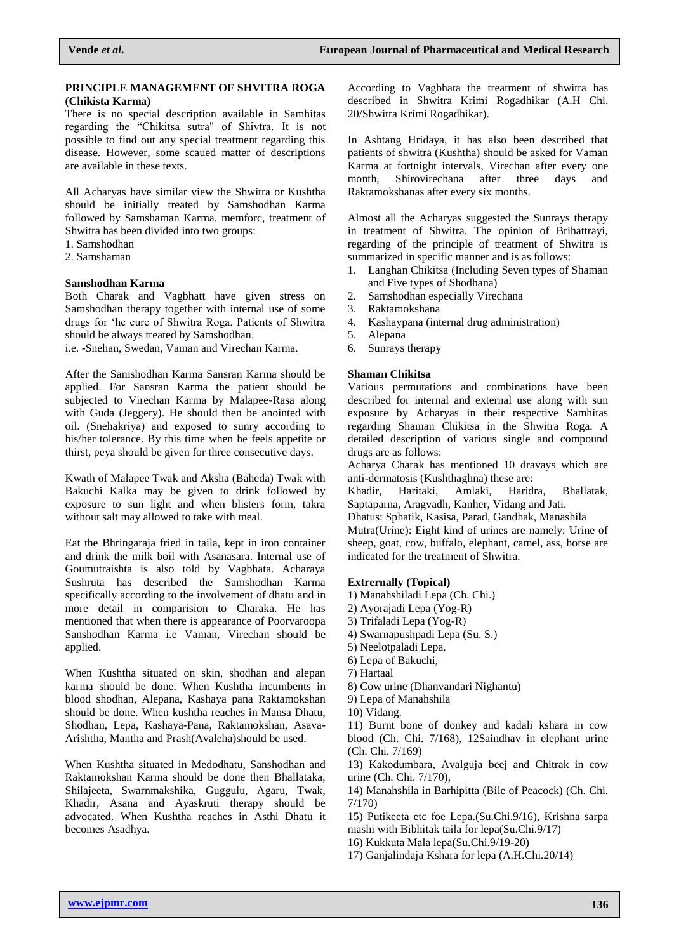## **PRINCIPLE MANAGEMENT OF SHVITRA ROGA (Chikista Karma)**

There is no special description available in Samhitas regarding the "Chikitsa sutra" of Shivtra. It is not possible to find out any special treatment regarding this disease. However, some scaued matter of descriptions are available in these texts.

All Acharyas have similar view the Shwitra or Kushtha should be initially treated by Samshodhan Karma followed by Samshaman Karma. memforc, treatment of Shwitra has been divided into two groups:

- 1. Samshodhan
- 2. Samshaman

### **Samshodhan Karma**

Both Charak and Vagbhatt have given stress on Samshodhan therapy together with internal use of some drugs for 'he cure of Shwitra Roga. Patients of Shwitra should be always treated by Samshodhan.

i.e. -Snehan, Swedan, Vaman and Virechan Karma.

After the Samshodhan Karma Sansran Karma should be applied. For Sansran Karma the patient should be subjected to Virechan Karma by Malapee-Rasa along with Guda (Jeggery). He should then be anointed with oil. (Snehakriya) and exposed to sunry according to his/her tolerance. By this time when he feels appetite or thirst, peya should be given for three consecutive days.

Kwath of Malapee Twak and Aksha (Baheda) Twak with Bakuchi Kalka may be given to drink followed by exposure to sun light and when blisters form, takra without salt may allowed to take with meal.

Eat the Bhringaraja fried in taila, kept in iron container and drink the milk boil with Asanasara. Internal use of Goumutraishta is also told by Vagbhata. Acharaya Sushruta has described the Samshodhan Karma specifically according to the involvement of dhatu and in more detail in comparision to Charaka. He has mentioned that when there is appearance of Poorvaroopa Sanshodhan Karma i.e Vaman, Virechan should be applied.

When Kushtha situated on skin, shodhan and alepan karma should be done. When Kushtha incumbents in blood shodhan, Alepana, Kashaya pana Raktamokshan should be done. When kushtha reaches in Mansa Dhatu, Shodhan, Lepa, Kashaya-Pana, Raktamokshan, Asava-Arishtha, Mantha and Prash(Avaleha)should be used.

When Kushtha situated in Medodhatu, Sanshodhan and Raktamokshan Karma should be done then Bhallataka, Shilajeeta, Swarnmakshika, Guggulu, Agaru, Twak, Khadir, Asana and Ayaskruti therapy should be advocated. When Kushtha reaches in Asthi Dhatu it becomes Asadhya.

According to Vagbhata the treatment of shwitra has described in Shwitra Krimi Rogadhikar (A.H Chi. 20/Shwitra Krimi Rogadhikar).

In Ashtang Hridaya, it has also been described that patients of shwitra (Kushtha) should be asked for Vaman Karma at fortnight intervals, Virechan after every one<br>month, Shirovirechana after three days and month, Shirovirechana after three days and Raktamokshanas after every six months.

Almost all the Acharyas suggested the Sunrays therapy in treatment of Shwitra. The opinion of Brihattrayi, regarding of the principle of treatment of Shwitra is summarized in specific manner and is as follows:

- 1. Langhan Chikitsa (Including Seven types of Shaman and Five types of Shodhana)
- 2. Samshodhan especially Virechana
- 3. Raktamokshana
- 4. Kashaypana (internal drug administration)
- 5. Alepana
- 6. Sunrays therapy

#### **Shaman Chikitsa**

Various permutations and combinations have been described for internal and external use along with sun exposure by Acharyas in their respective Samhitas regarding Shaman Chikitsa in the Shwitra Roga. A detailed description of various single and compound drugs are as follows:

Acharya Charak has mentioned 10 dravays which are anti-dermatosis (Kushthaghna) these are:

Khadir, Haritaki, Amlaki, Haridra, Bhallatak, Saptaparna, Aragvadh, Kanher, Vidang and Jati.

Dhatus: Sphatik, Kasisa, Parad, Gandhak, Manashila

Mutra(Urine): Eight kind of urines are namely: Urine of sheep, goat, cow, buffalo, elephant, camel, ass, horse are indicated for the treatment of Shwitra.

### **Extrernally (Topical)**

- 1) Manahshiladi Lepa (Ch. Chi.)
- 2) Ayorajadi Lepa (Yog-R)
- 3) Trifaladi Lepa (Yog-R)
- 4) Swarnapushpadi Lepa (Su. S.)
- 5) Neelotpaladi Lepa.
- 6) Lepa of Bakuchi,
- 7) Hartaal
- 8) Cow urine (Dhanvandari Nighantu)

9) Lepa of Manahshila

10) Vidang.

11) Burnt bone of donkey and kadali kshara in cow blood (Ch. Chi. 7/168), 12Saindhav in elephant urine (Ch. Chi. 7/169)

13) Kakodumbara, Avalguja beej and Chitrak in cow urine (Ch. Chi. 7/170),

14) Manahshila in Barhipitta (Bile of Peacock) (Ch. Chi. 7/170)

15) Putikeeta etc foe Lepa.(Su.Chi.9/16), Krishna sarpa mashi with Bibhitak taila for lepa(Su.Chi.9/17)

16) Kukkuta Mala lepa(Su.Chi.9/19-20)

17) Ganjalindaja Kshara for lepa (A.H.Chi.20/14)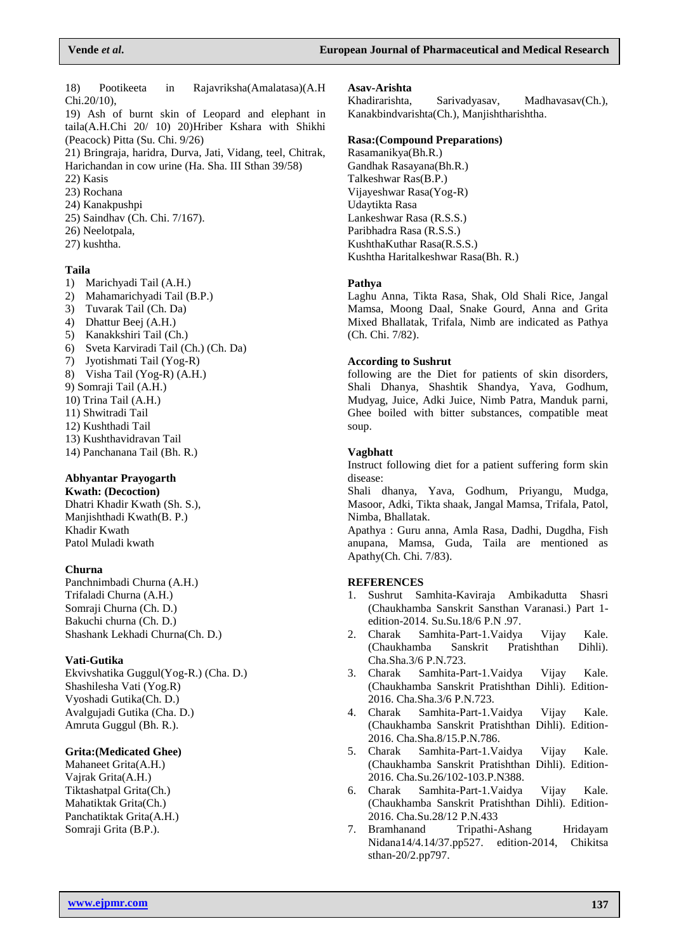18) Pootikeeta in Rajavriksha(Amalatasa)(A.H Chi.20/10),

19) Ash of burnt skin of Leopard and elephant in taila(A.H.Chi 20/ 10) 20)Hriber Kshara with Shikhi (Peacock) Pitta (Su. Chi. 9/26)

21) Bringraja, haridra, Durva, Jati, Vidang, teel, Chitrak, Harichandan in cow urine (Ha. Sha. III Sthan 39/58)

- 22) Kasis
- 23) Rochana
- 24) Kanakpushpi
- 25) Saindhav (Ch. Chi. 7/167).
- 26) Neelotpala,
- 27) kushtha.

### **Taila**

- 1) Marichyadi Tail (A.H.)
- 2) Mahamarichyadi Tail (B.P.)
- 3) Tuvarak Tail (Ch. Da)
- 4) Dhattur Beej (A.H.)
- 5) Kanakkshiri Tail (Ch.)
- 6) Sveta Karviradi Tail (Ch.) (Ch. Da)
- 7) Jyotishmati Tail (Yog-R)
- 8) Visha Tail (Yog-R) (A.H.)
- 9) Somraji Tail (A.H.)
- 10) Trina Tail (A.H.)
- 11) Shwitradi Tail
- 12) Kushthadi Tail
- 13) Kushthavidravan Tail
- 14) Panchanana Tail (Bh. R.)

## **Abhyantar Prayogarth**

**Kwath: (Decoction)** Dhatri Khadir Kwath (Sh. S.), Manjishthadi Kwath(B. P.) Khadir Kwath Patol Muladi kwath

#### **Churna**

Panchnimbadi Churna (A.H.) Trifaladi Churna (A.H.) Somraji Churna (Ch. D.) Bakuchi churna (Ch. D.) Shashank Lekhadi Churna(Ch. D.)

### **Vati-Gutika**

Ekvivshatika Guggul(Yog-R.) (Cha. D.) Shashilesha Vati (Yog.R) Vyoshadi Gutika(Ch. D.) Avalgujadi Gutika (Cha. D.) Amruta Guggul (Bh. R.).

### **Grita:(Medicated Ghee)**

Mahaneet Grita(A.H.) Vajrak Grita(A.H.) Tiktashatpal Grita(Ch.) Mahatiktak Grita(Ch.) Panchatiktak Grita(A.H.) Somraji Grita (B.P.).

#### **Asav-Arishta**

Khadirarishta, Sarivadyasav, Madhavasav(Ch.), Kanakbindvarishta(Ch.), Manjishtharishtha.

#### **Rasa:(Compound Preparations)**

Rasamanikya(Bh.R.) Gandhak Rasayana(Bh.R.) Talkeshwar Ras(B.P.) Vijayeshwar Rasa(Yog-R) Udaytikta Rasa Lankeshwar Rasa (R.S.S.) Paribhadra Rasa (R.S.S.) KushthaKuthar Rasa(R.S.S.) Kushtha Haritalkeshwar Rasa(Bh. R.)

#### **Pathya**

Laghu Anna, Tikta Rasa, Shak, Old Shali Rice, Jangal Mamsa, Moong Daal, Snake Gourd, Anna and Grita Mixed Bhallatak, Trifala, Nimb are indicated as Pathya (Ch. Chi. 7/82).

#### **According to Sushrut**

following are the Diet for patients of skin disorders, Shali Dhanya, Shashtik Shandya, Yava, Godhum, Mudyag, Juice, Adki Juice, Nimb Patra, Manduk parni, Ghee boiled with bitter substances, compatible meat soup.

#### **Vagbhatt**

Instruct following diet for a patient suffering form skin disease:

Shali dhanya, Yava, Godhum, Priyangu, Mudga, Masoor, Adki, Tikta shaak, Jangal Mamsa, Trifala, Patol, Nimba, Bhallatak.

Apathya : Guru anna, Amla Rasa, Dadhi, Dugdha, Fish anupana, Mamsa, Guda, Taila are mentioned as Apathy(Ch. Chi. 7/83).

#### **REFERENCES**

- 1. Sushrut Samhita-Kaviraja Ambikadutta Shasri (Chaukhamba Sanskrit Sansthan Varanasi.) Part 1 edition-2014. Su.Su.18/6 P.N .97.
- 2. Charak Samhita-Part-1.Vaidya Vijay Kale. (Chaukhamba Sanskrit Pratishthan Dihli). Cha.Sha.3/6 P.N.723.
- 3. Charak Samhita-Part-1.Vaidya Vijay Kale. (Chaukhamba Sanskrit Pratishthan Dihli). Edition-2016. Cha.Sha.3/6 P.N.723.
- 4. Charak Samhita-Part-1.Vaidya Vijay Kale. (Chaukhamba Sanskrit Pratishthan Dihli). Edition-2016. Cha.Sha.8/15.P.N.786.
- 5. Charak Samhita-Part-1.Vaidya Vijay Kale. (Chaukhamba Sanskrit Pratishthan Dihli). Edition-2016. Cha.Su.26/102-103.P.N388.
- 6. Charak Samhita-Part-1.Vaidya Vijay Kale. (Chaukhamba Sanskrit Pratishthan Dihli). Edition-2016. Cha.Su.28/12 P.N.433
- 7. Bramhanand Tripathi-Ashang Hridayam Nidana14/4.14/37.pp527. edition-2014, Chikitsa sthan-20/2.pp797.